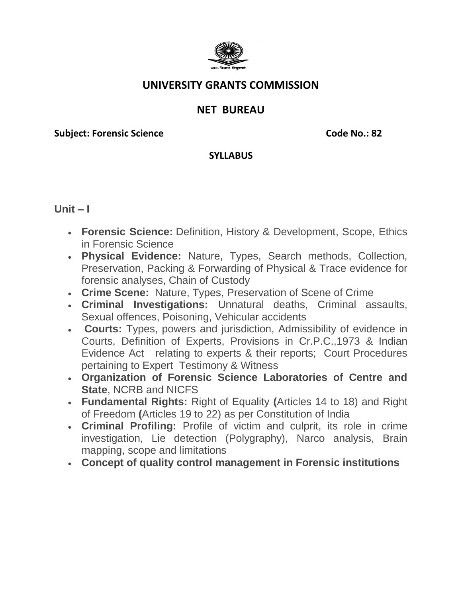

## **UNIVERSITY GRANTS COMMISSION**

# **NET BUREAU**

**Subject: Forensic Science Code No.: 82** 

#### **SYLLABUS**

**Unit – I**

- **Forensic Science:** Definition, History & Development, Scope, Ethics in Forensic Science
- **Physical Evidence:** Nature, Types, Search methods, Collection, Preservation, Packing & Forwarding of Physical & Trace evidence for forensic analyses, Chain of Custody
- **Crime Scene:** Nature, Types, Preservation of Scene of Crime
- **Criminal Investigations:** Unnatural deaths, Criminal assaults, Sexual offences, Poisoning, Vehicular accidents
- **Courts:** Types, powers and jurisdiction, Admissibility of evidence in Courts, Definition of Experts, Provisions in Cr.P.C.,1973 & Indian Evidence Act relating to experts & their reports; Court Procedures pertaining to Expert Testimony & Witness
- **Organization of Forensic Science Laboratories of Centre and State**, NCRB and NICFS
- **Fundamental Rights:** Right of Equality **(**Articles 14 to 18) and Right of Freedom **(**Articles 19 to 22) as per Constitution of India
- **Criminal Profiling:** Profile of victim and culprit, its role in crime investigation, Lie detection (Polygraphy), Narco analysis, Brain mapping, scope and limitations
- **Concept of quality control management in Forensic institutions**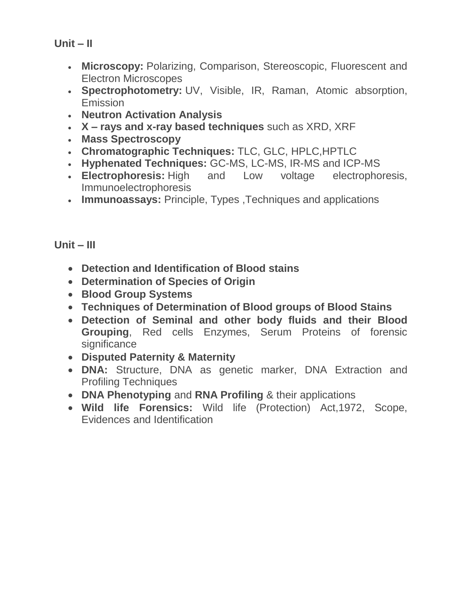**Unit – II**

- **Microscopy:** Polarizing, Comparison, Stereoscopic, Fluorescent and Electron Microscopes
- **Spectrophotometry:** UV, Visible, IR, Raman, Atomic absorption, Emission
- **Neutron Activation Analysis**
- **X – rays and x-ray based techniques** such as XRD, XRF
- **Mass Spectroscopy**
- **Chromatographic Techniques:** TLC, GLC, HPLC,HPTLC
- **Hyphenated Techniques:** GC-MS, LC-MS, IR-MS and ICP-MS
- **Electrophoresis:** High and Low voltage electrophoresis, Immunoelectrophoresis
- **Immunoassays:** Principle, Types ,Techniques and applications

**Unit – III**

- **Detection and Identification of Blood stains**
- **Determination of Species of Origin**
- **Blood Group Systems**
- **Techniques of Determination of Blood groups of Blood Stains**
- **Detection of Seminal and other body fluids and their Blood Grouping**, Red cells Enzymes, Serum Proteins of forensic significance
- **Disputed Paternity & Maternity**
- **DNA:** Structure, DNA as genetic marker, DNA Extraction and Profiling Techniques
- **DNA Phenotyping** and **RNA Profiling** & their applications
- **Wild life Forensics:** Wild life (Protection) Act,1972, Scope, Evidences and Identification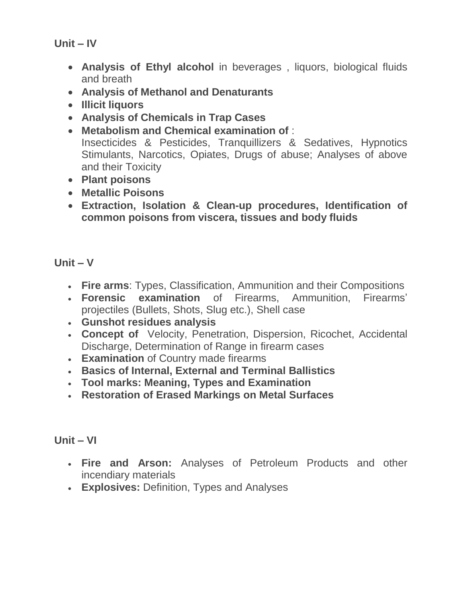**Unit – IV**

- **Analysis of Ethyl alcohol** in beverages , liquors, biological fluids and breath
- **Analysis of Methanol and Denaturants**
- **Illicit liquors**
- **Analysis of Chemicals in Trap Cases**
- **Metabolism and Chemical examination of** : Insecticides & Pesticides, Tranquillizers & Sedatives, Hypnotics Stimulants, Narcotics, Opiates, Drugs of abuse; Analyses of above and their Toxicity
- **Plant poisons**
- **Metallic Poisons**
- **Extraction, Isolation & Clean-up procedures, Identification of common poisons from viscera, tissues and body fluids**

#### **Unit – V**

- **Fire arms**: Types, Classification, Ammunition and their Compositions
- **Forensic examination** of Firearms, Ammunition, Firearms' projectiles (Bullets, Shots, Slug etc.), Shell case
- **Gunshot residues analysis**
- **Concept of** Velocity, Penetration, Dispersion, Ricochet, Accidental Discharge, Determination of Range in firearm cases
- **Examination** of Country made firearms
- **Basics of Internal, External and Terminal Ballistics**
- **Tool marks: Meaning, Types and Examination**
- **Restoration of Erased Markings on Metal Surfaces**

### **Unit – VI**

- **Fire and Arson:** Analyses of Petroleum Products and other incendiary materials
- **Explosives:** Definition, Types and Analyses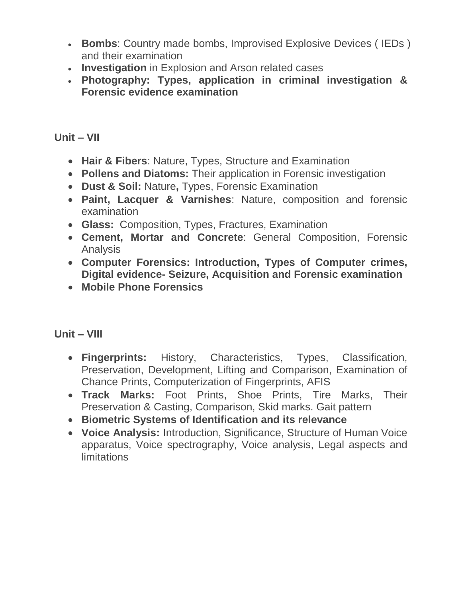- **Bombs**: Country made bombs, Improvised Explosive Devices ( IEDs ) and their examination
- **Investigation** in Explosion and Arson related cases
- **Photography: Types, application in criminal investigation & Forensic evidence examination**

**Unit – VII**

- **Hair & Fibers**: Nature, Types, Structure and Examination
- **Pollens and Diatoms:** Their application in Forensic investigation
- **Dust & Soil:** Nature**,** Types, Forensic Examination
- **Paint, Lacquer & Varnishes**: Nature, composition and forensic examination
- **Glass:** Composition, Types, Fractures, Examination
- **Cement, Mortar and Concrete**: General Composition, Forensic Analysis
- **Computer Forensics: Introduction, Types of Computer crimes, Digital evidence- Seizure, Acquisition and Forensic examination**
- **Mobile Phone Forensics**

**Unit – VIII**

- **Fingerprints:** History, Characteristics, Types, Classification, Preservation, Development, Lifting and Comparison, Examination of Chance Prints, Computerization of Fingerprints, AFIS
- **Track Marks:** Foot Prints, Shoe Prints, Tire Marks, Their Preservation & Casting, Comparison, Skid marks. Gait pattern
- **Biometric Systems of Identification and its relevance**
- **Voice Analysis:** Introduction, Significance, Structure of Human Voice apparatus, Voice spectrography, Voice analysis, Legal aspects and **limitations**